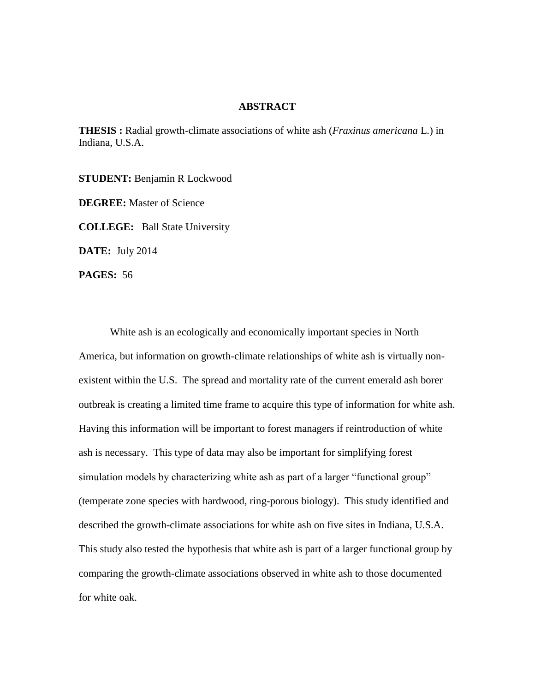## **ABSTRACT**

**THESIS :** Radial growth-climate associations of white ash (*Fraxinus americana* L.) in Indiana, U.S.A.

**STUDENT:** Benjamin R Lockwood

**DEGREE:** Master of Science

**COLLEGE:** Ball State University

**DATE:** July 2014

**PAGES:** 56

White ash is an ecologically and economically important species in North America, but information on growth-climate relationships of white ash is virtually nonexistent within the U.S. The spread and mortality rate of the current emerald ash borer outbreak is creating a limited time frame to acquire this type of information for white ash. Having this information will be important to forest managers if reintroduction of white ash is necessary. This type of data may also be important for simplifying forest simulation models by characterizing white ash as part of a larger "functional group" (temperate zone species with hardwood, ring-porous biology). This study identified and described the growth-climate associations for white ash on five sites in Indiana, U.S.A. This study also tested the hypothesis that white ash is part of a larger functional group by comparing the growth-climate associations observed in white ash to those documented for white oak.